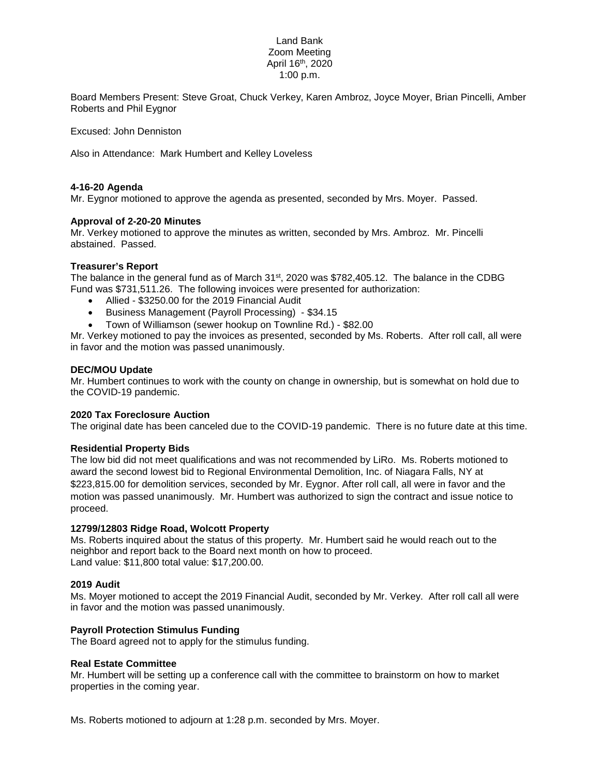# Land Bank Zoom Meeting April 16th, 2020 1:00 p.m.

Board Members Present: Steve Groat, Chuck Verkey, Karen Ambroz, Joyce Moyer, Brian Pincelli, Amber Roberts and Phil Eygnor

Excused: John Denniston

Also in Attendance: Mark Humbert and Kelley Loveless

### **4-16-20 Agenda**

Mr. Eygnor motioned to approve the agenda as presented, seconded by Mrs. Moyer. Passed.

## **Approval of 2-20-20 Minutes**

Mr. Verkey motioned to approve the minutes as written, seconded by Mrs. Ambroz. Mr. Pincelli abstained. Passed.

### **Treasurer's Report**

The balance in the general fund as of March 31st, 2020 was \$782,405.12. The balance in the CDBG Fund was \$731,511.26. The following invoices were presented for authorization:

- Allied \$3250.00 for the 2019 Financial Audit
- Business Management (Payroll Processing) \$34.15
- Town of Williamson (sewer hookup on Townline Rd.) \$82.00

Mr. Verkey motioned to pay the invoices as presented, seconded by Ms. Roberts. After roll call, all were in favor and the motion was passed unanimously.

### **DEC/MOU Update**

Mr. Humbert continues to work with the county on change in ownership, but is somewhat on hold due to the COVID-19 pandemic.

## **2020 Tax Foreclosure Auction**

The original date has been canceled due to the COVID-19 pandemic. There is no future date at this time.

#### **Residential Property Bids**

The low bid did not meet qualifications and was not recommended by LiRo. Ms. Roberts motioned to award the second lowest bid to Regional Environmental Demolition, Inc. of Niagara Falls, NY at \$223,815.00 for demolition services, seconded by Mr. Eygnor. After roll call, all were in favor and the motion was passed unanimously. Mr. Humbert was authorized to sign the contract and issue notice to proceed.

## **12799/12803 Ridge Road, Wolcott Property**

Ms. Roberts inquired about the status of this property. Mr. Humbert said he would reach out to the neighbor and report back to the Board next month on how to proceed. Land value: \$11,800 total value: \$17,200.00.

#### **2019 Audit**

Ms. Moyer motioned to accept the 2019 Financial Audit, seconded by Mr. Verkey. After roll call all were in favor and the motion was passed unanimously.

# **Payroll Protection Stimulus Funding**

The Board agreed not to apply for the stimulus funding.

#### **Real Estate Committee**

Mr. Humbert will be setting up a conference call with the committee to brainstorm on how to market properties in the coming year.

Ms. Roberts motioned to adjourn at 1:28 p.m. seconded by Mrs. Moyer.